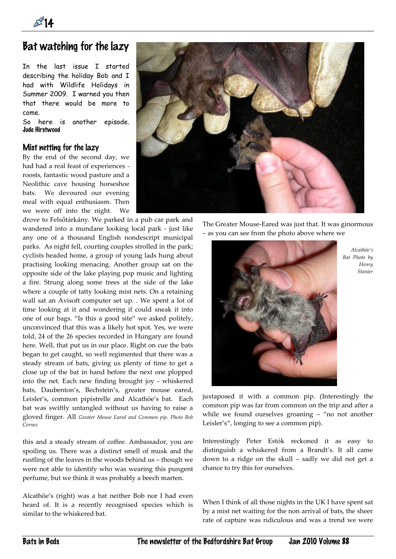**14** 

# Bat watching for the lazy

In the last issue I started describing the holiday Bob and I had with Wildlife Holidays in Summer 2009. I warned you then that there would be more to come.

So here is another episode. Jude Hirstwood

## Mist netting for the lazy

By the end of the second day, we had had a real feast of experiences roosts, fantastic wood pasture and a Neolithic cave housing horseshoe bats. We devoured our evening meal with equal enthusiasm. Then we were off into the night. We

drove to Felsőtárkány. We parked in a pub car park and wandered into a mundane looking local park - just like any one of a thousand English nondescript municipal parks. As night fell, courting couples strolled in the park; cyclists headed home, a group of young lads hung about practising looking menacing. Another group sat on the opposite side of the lake playing pop music and lighting a fire. Strung along some trees at the side of the lake where a couple of tatty looking mist nets. On a retaining wall sat an Avisoft computer set up. . We spent a lot of time looking at it and wondering if could sneak it into one of our bags. "Is this a good site" we asked politely, unconvinced that this was a likely hot spot. Yes, we were told, 24 of the 26 species recorded in Hungary are found here. Well, that put us in our place. Right on cue the bats began to get caught, so well regimented that there was a steady stream of bats, giving us plenty of time to get a close up of the bat in hand before the next one plopped into the net. Each new finding brought joy - whiskered bats, Daubenton's, Bechstein's, greater mouse eared, Leisler's, common pipistrelle and Alcathöe's bat. Each bat was swiftly untangled without us having to raise a gloved finger. All *Greater Mouse Eared and Common pip. Photo Bob Cornes*

this and a steady stream of coffee. Ambassador, you are spoiling us. There was a distinct smell of musk and the rustling of the leaves in the woods behind us – though we were not able to identify who was wearing this pungent perfume, but we think it was probably a beech marten.

Alcathöe's (right) was a bat neither Bob nor I had even heard of. It is a recently recognised species which is similar to the whiskered bat.



The Greater Mouse-Eared was just that. It was ginormous – as you can see from the photo above where we



*Alcathöe's Bat Photo by Henry Stanier*

juxtaposed it with a common pip. (Interestingly the common pip was far from common on the trip and after a while we found ourselves groaning – "no not another Leisler's", longing to see a common pip).

Interestingly Peter Estók reckoned it as easy to distinguish a whiskered from a Brandt's. It all came down to a ridge on the skull – sadly we did not get a chance to try this for ourselves.

When I think of all those nights in the UK I have spent sat by a mist net waiting for the non arrival of bats, the sheer rate of capture was ridiculous and was a trend we were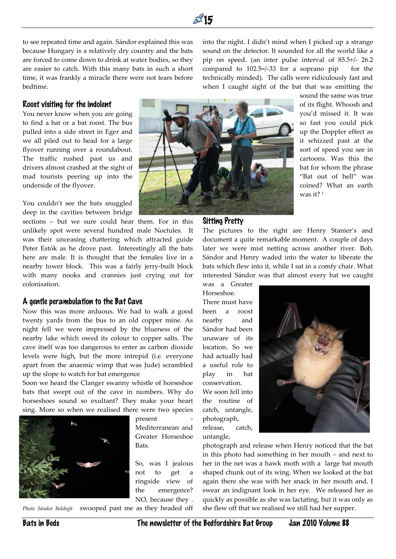

to see repeated time and again. Sándor explained this was because Hungary is a relatively dry country and the bats are forced to come down to drink at water bodies, so they are easier to catch. With this many bats in such a short time, it was frankly a miracle there were not tears before bedtime.

into the night. I didn't mind when I picked up a strange sound on the detector. It sounded for all the world like a pip on speed. (an inter pulse interval of 85.5+/- 26.2 compared to  $102.5 = / -33$  for a soprano pip for the technically minded). The calls were ridiculously fast and when I caught sight of the bat that was emitting the

### Roost visiting for the indolent

You never know when you are going to find a bat or a bat roost. The bus pulled into a side street in Eger and we all piled out to head for a large flyover running over a roundabout. The traffic rushed past us and drivers almost crashed at the sight of mad tourists peering up into the underside of the flyover.

You couldn't see the bats snuggled deep in the cavities between bridge

sections – but we sure could hear them. For in this unlikely spot were several hundred male Noctules. It was their unceasing chattering which attracted guide Peter Estók as he drove past. Interestingly all the bats here are male. It is thought that the females live in a nearby tower block. This was a fairly jerry-built block with many nooks and crannies just crying out for colonisation.

### A gentle perambulation to the Bat Cave

Now this was more arduous. We had to walk a good twenty yards from the bus to an old copper mine. As night fell we were impressed by the blueness of the nearby lake which owed its colour to copper salts. The cave itself was too dangerous to enter as carbon dioxide levels were high, but the more intrepid (i.e. everyone apart from the anaemic wimp that was Jude) scrambled up the slope to watch for bat emergence

Soon we heard the Clanger swanny whistle of horseshoe bats that swept out of the cave in numbers. Why do horseshoes sound so exultant? They make your heart sing. More so when we realised there were two species



present Mediterranean and Greater Horseshoe Bats.

So, was I jealous not to get a ringside view of the emergence? NO, because they .

*Photo Sándor Boldogh* swooped past me as they headed off



sound the same was true of its flight. Whoosh and you'd missed it. It was so fast you could pick up the Doppler effect as it whizzed past at the sort of speed you see in cartoons. Was this the bat for whom the phrase "Bat out of hell" was coined? What an earth was it? <sup>1</sup>

### Sitting Pretty

The pictures to the right are Henry Stanier's and document a quite remarkable moment. A couple of days later we were mist netting across another river. Bob, Sándor and Henry waded into the water to liberate the bats which flew into it, while I sat in a comfy chair. What interested Sándor was that almost every bat we caught

was a Greater Horseshoe.

There must have been a roost nearby and Sándor had been unaware of its location. So we had actually had a useful role to play in bat conservation. We soon fell into the routine of catch, untangle, photograph,

release, catch,

untangle,



photograph and release when Henry noticed that the bat in this photo had something in her mouth – and next to her in the net was a hawk moth with a large bat mouth shaped chunk out of its wing. When we looked at the bat again there she was with her snack in her mouth and, I swear an indignant look in her eye. We released her as quickly as possible as she was lactating, but it was only as she flew off that we realised we still had her supper.